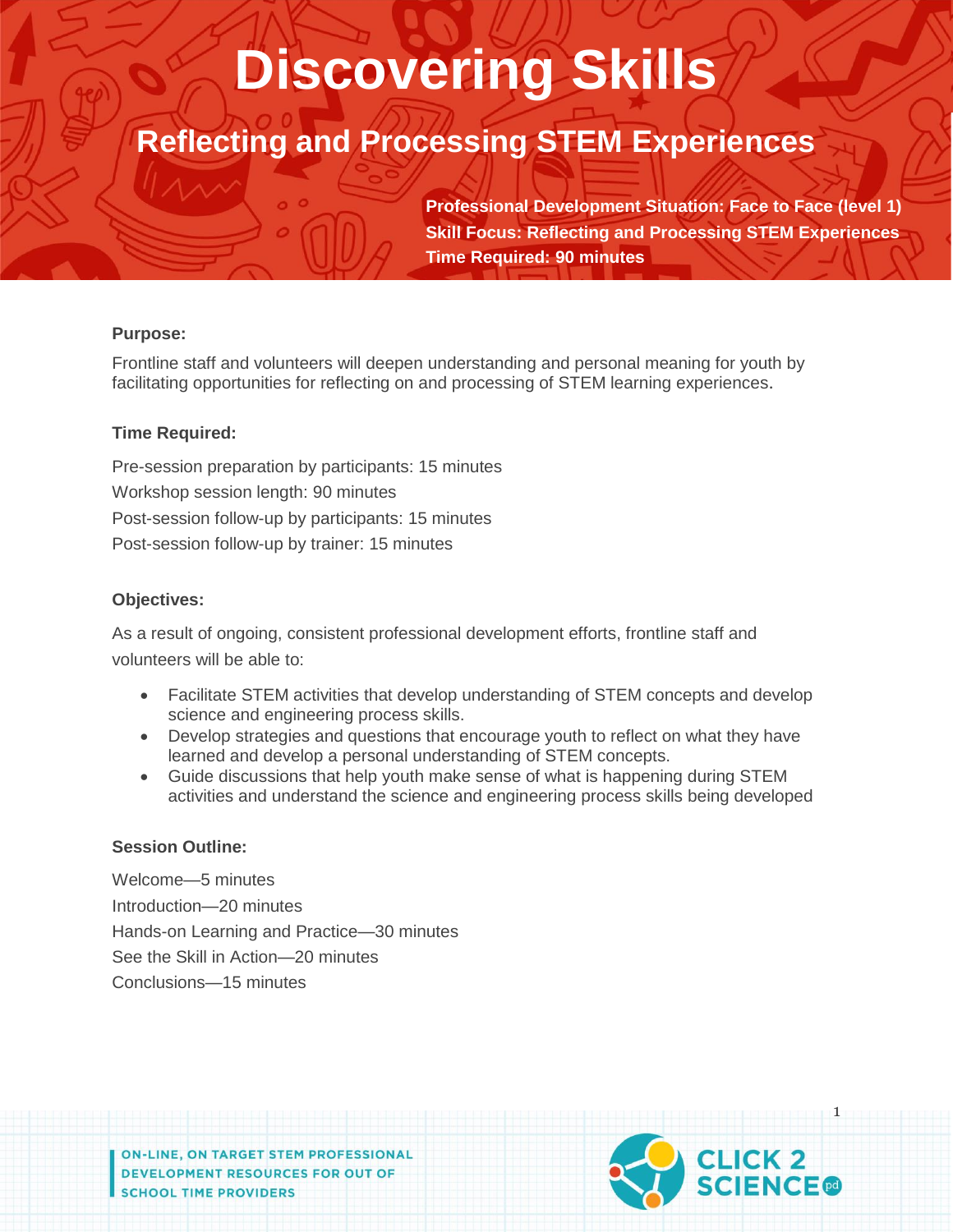# **Discovering Skills**

## **Reflecting and Processing STEM Experiences**

**Professional Development Situation: Face to Face (level 1) Skill Focus: Reflecting and Processing STEM Experiences Time Required: 90 minutes**

## **Purpose:**

Frontline staff and volunteers will deepen understanding and personal meaning for youth by facilitating opportunities for reflecting on and processing of STEM learning experiences.

## **Time Required:**

Pre-session preparation by participants: 15 minutes Workshop session length: 90 minutes Post-session follow-up by participants: 15 minutes Post-session follow-up by trainer: 15 minutes

## **Objectives:**

As a result of ongoing, consistent professional development efforts, frontline staff and volunteers will be able to:

- Facilitate STEM activities that develop understanding of STEM concepts and develop science and engineering process skills.
- Develop strategies and questions that encourage youth to reflect on what they have learned and develop a personal understanding of STEM concepts.
- Guide discussions that help youth make sense of what is happening during STEM activities and understand the science and engineering process skills being developed

## **Session Outline:**

Welcome—5 minutes Introduction—20 minutes Hands-on Learning and Practice—30 minutes See the Skill in Action—20 minutes Conclusions—15 minutes

**ON-LINE, ON TARGET STEM PROFESSIONAL** DEVELOPMENT RESOURCES FOR OUT OF **SCHOOL TIME PROVIDERS** 

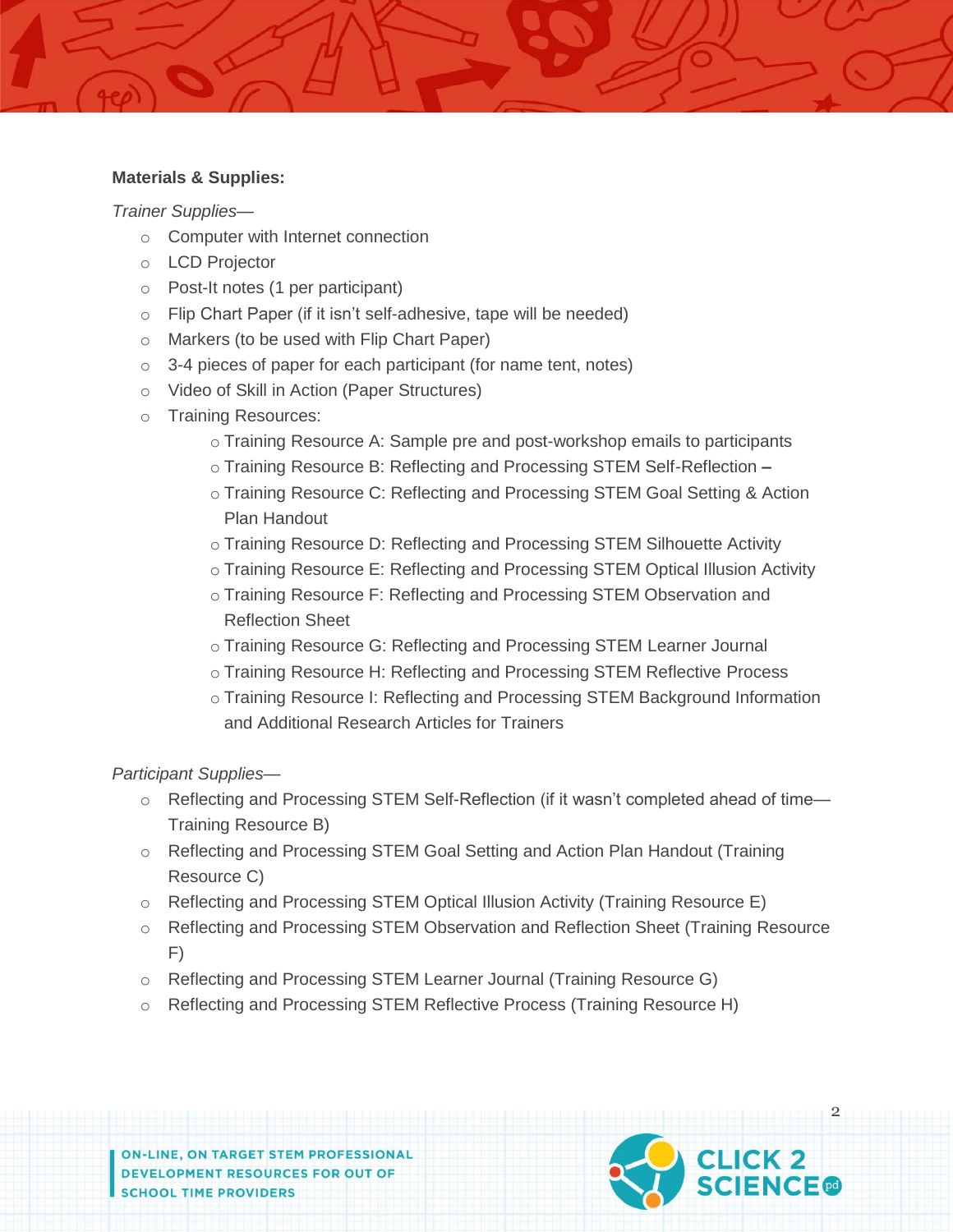#### **Materials & Supplies:**

*Trainer Supplies*—

- o Computer with Internet connection
- o LCD Projector
- o Post-It notes (1 per participant)
- o Flip Chart Paper (if it isn't self-adhesive, tape will be needed)
- o Markers (to be used with Flip Chart Paper)
- $\circ$  3-4 pieces of paper for each participant (for name tent, notes)
- o Video of Skill in Action (Paper Structures)
- o Training Resources:
	- o Training Resource A: Sample pre and post-workshop emails to participants
	- o Training Resource B: Reflecting and Processing STEM Self-Reflection **–**
	- o Training Resource C: Reflecting and Processing STEM Goal Setting & Action Plan Handout
	- o Training Resource D: Reflecting and Processing STEM Silhouette Activity
	- o Training Resource E: Reflecting and Processing STEM Optical Illusion Activity
	- o Training Resource F: Reflecting and Processing STEM Observation and Reflection Sheet
	- o Training Resource G: Reflecting and Processing STEM Learner Journal
	- o Training Resource H: Reflecting and Processing STEM Reflective Process
	- o Training Resource I: Reflecting and Processing STEM Background Information and Additional Research Articles for Trainers

*Participant Supplies*—

- o Reflecting and Processing STEM Self-Reflection (if it wasn't completed ahead of time— Training Resource B)
- o Reflecting and Processing STEM Goal Setting and Action Plan Handout (Training Resource C)
- o Reflecting and Processing STEM Optical Illusion Activity (Training Resource E)
- o Reflecting and Processing STEM Observation and Reflection Sheet (Training Resource F)
- o Reflecting and Processing STEM Learner Journal (Training Resource G)
- o Reflecting and Processing STEM Reflective Process (Training Resource H)

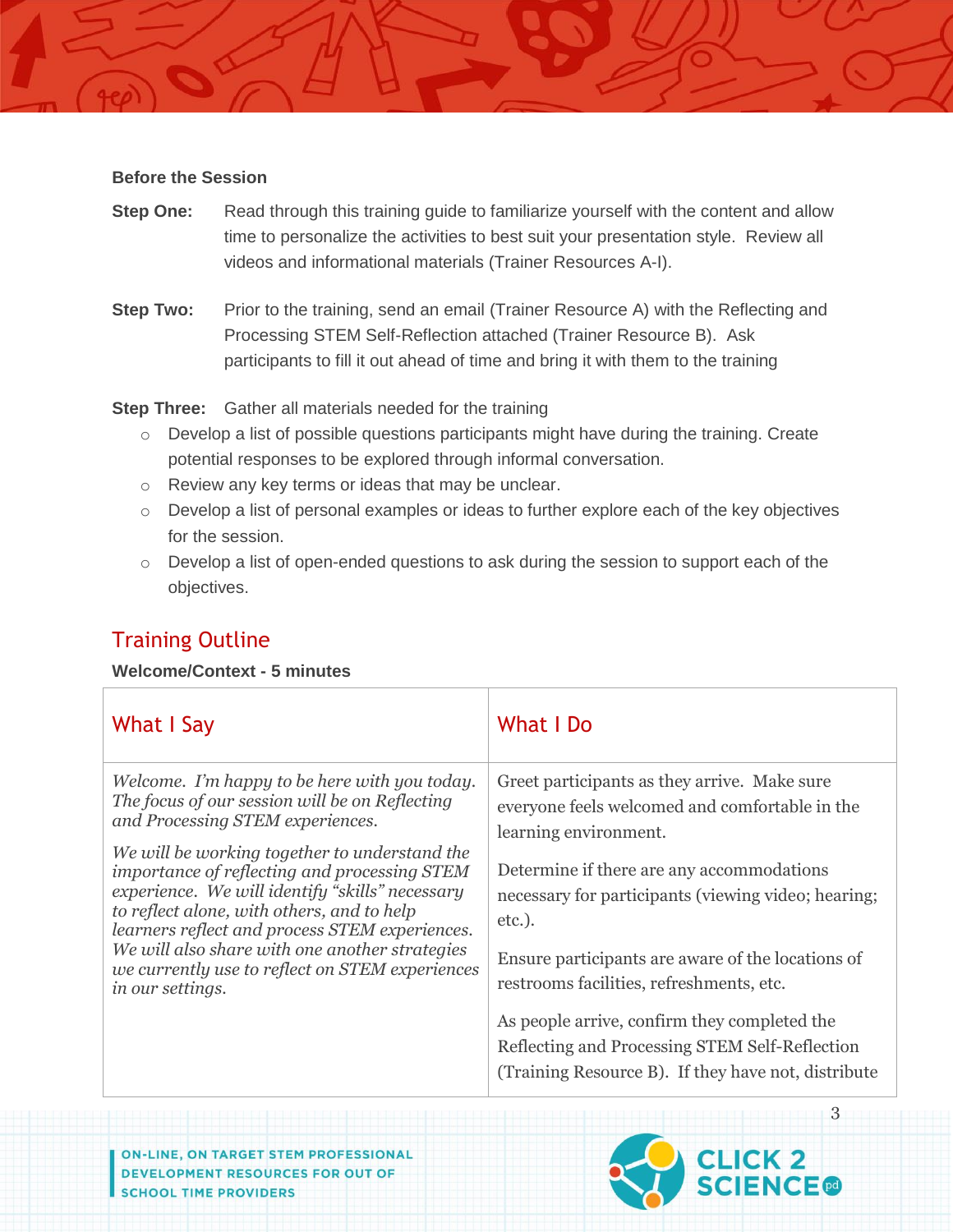#### **Before the Session**

- **Step One:** Read through this training guide to familiarize yourself with the content and allow time to personalize the activities to best suit your presentation style. Review all videos and informational materials (Trainer Resources A-I).
- **Step Two:** Prior to the training, send an email (Trainer Resource A) with the Reflecting and Processing STEM Self-Reflection attached (Trainer Resource B). Ask participants to fill it out ahead of time and bring it with them to the training

**Step Three:** Gather all materials needed for the training

- o Develop a list of possible questions participants might have during the training. Create potential responses to be explored through informal conversation.
- o Review any key terms or ideas that may be unclear.
- o Develop a list of personal examples or ideas to further explore each of the key objectives for the session.
- $\circ$  Develop a list of open-ended questions to ask during the session to support each of the objectives.

## Training Outline

## **Welcome/Context - 5 minutes**

| What I Say                                      | What I Do                                           |
|-------------------------------------------------|-----------------------------------------------------|
| Welcome. I'm happy to be here with you today.   | Greet participants as they arrive. Make sure        |
| The focus of our session will be on Reflecting  | everyone feels welcomed and comfortable in the      |
| and Processing STEM experiences.                | learning environment.                               |
| We will be working together to understand the   | Determine if there are any accommodations           |
| importance of reflecting and processing STEM    | necessary for participants (viewing video; hearing; |
| experience. We will identify "skills" necessary | $etc.$ ).                                           |
| to reflect alone, with others, and to help      | Ensure participants are aware of the locations of   |
| learners reflect and process STEM experiences.  | restrooms facilities, refreshments, etc.            |
| We will also share with one another strategies  | As people arrive, confirm they completed the        |
| we currently use to reflect on STEM experiences | Reflecting and Processing STEM Self-Reflection      |
| in our settings.                                | (Training Resource B). If they have not, distribute |

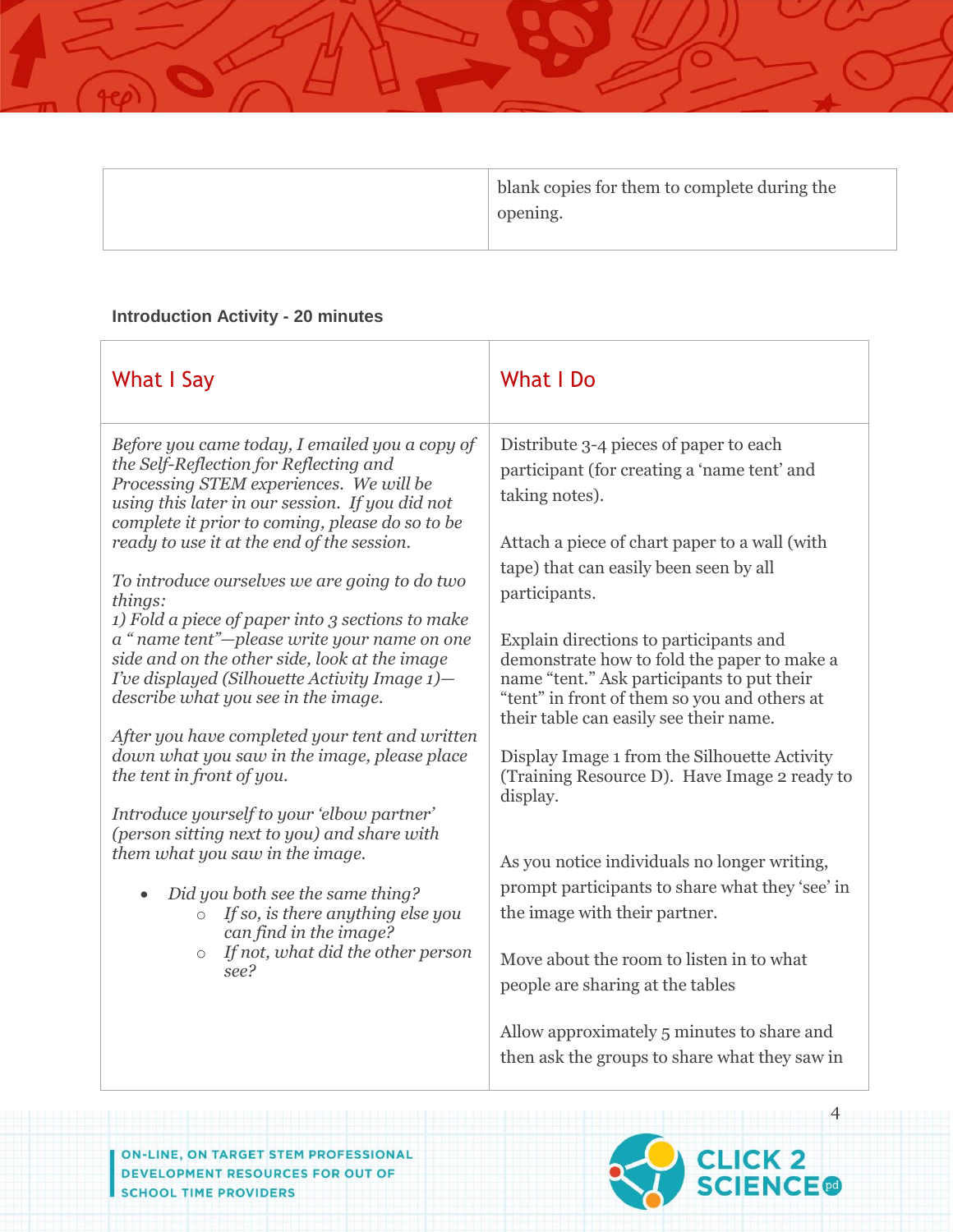

## **Introduction Activity - 20 minutes**

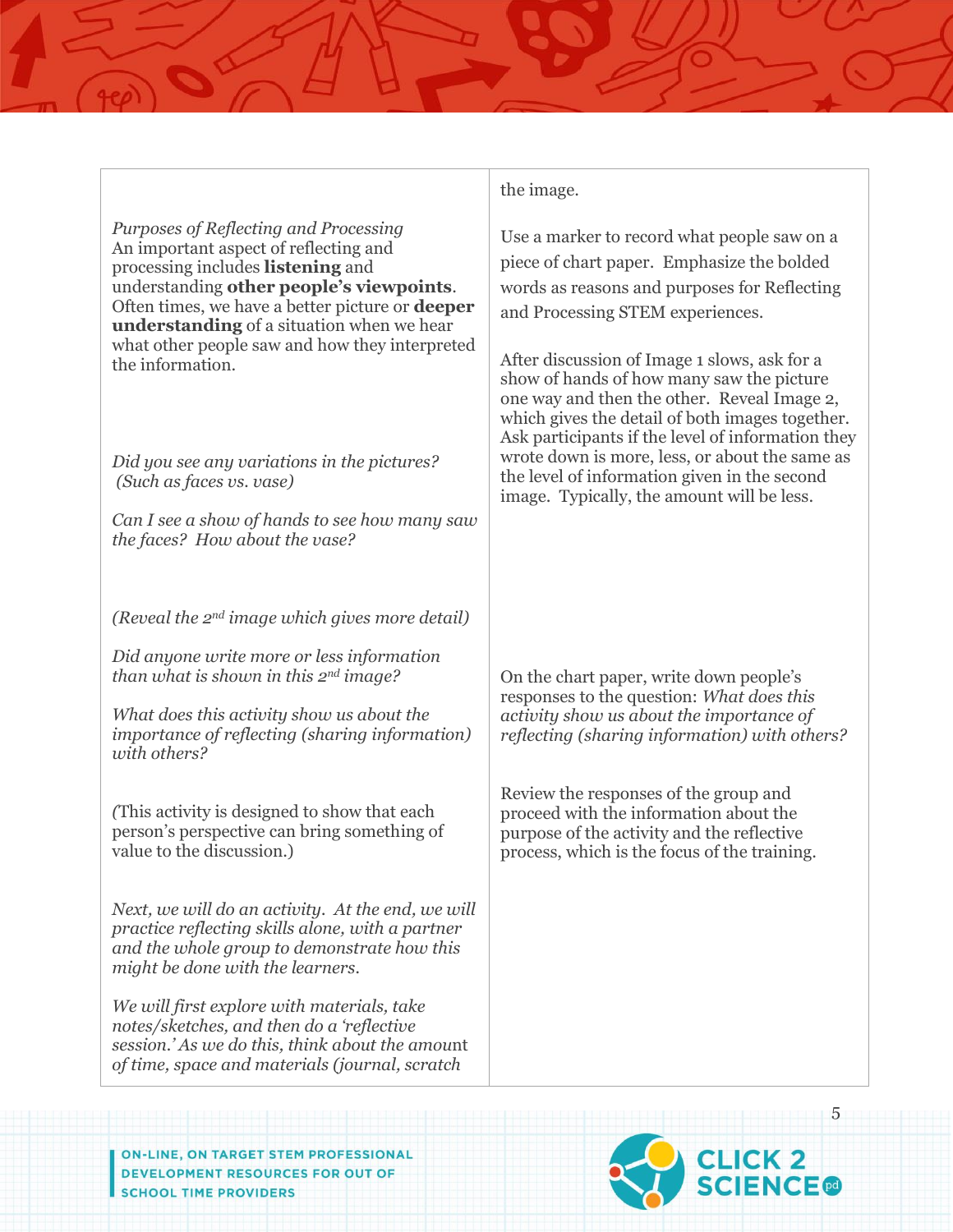*Purposes of Reflecting and Processing* An important aspect of reflecting and processing includes **listening** and understanding **other people's viewpoints**. Often times, we have a better picture or **deeper understanding** of a situation when we hear what other people saw and how they interpreted the information.

*Did you see any variations in the pictures? (Such as faces vs. vase)*

*Can I see a show of hands to see how many saw the faces? How about the vase?*

*(Reveal the 2nd image which gives more detail)*

*Did anyone write more or less information than what is shown in this 2nd image?*

*What does this activity show us about the importance of reflecting (sharing information) with others?*

*(*This activity is designed to show that each person's perspective can bring something of value to the discussion.)

*Next, we will do an activity. At the end, we will practice reflecting skills alone, with a partner and the whole group to demonstrate how this might be done with the learners.* 

*We will first explore with materials, take notes/sketches, and then do a 'reflective session.' As we do this, think about the amou*nt *of time, space and materials (journal, scratch* 

the image.

Use a marker to record what people saw on a piece of chart paper. Emphasize the bolded words as reasons and purposes for Reflecting and Processing STEM experiences.

After discussion of Image 1 slows, ask for a show of hands of how many saw the picture one way and then the other. Reveal Image 2, which gives the detail of both images together. Ask participants if the level of information they wrote down is more, less, or about the same as the level of information given in the second image. Typically, the amount will be less.

On the chart paper, write down people's responses to the question: *What does this activity show us about the importance of reflecting (sharing information) with others?*

Review the responses of the group and proceed with the information about the purpose of the activity and the reflective process, which is the focus of the training.

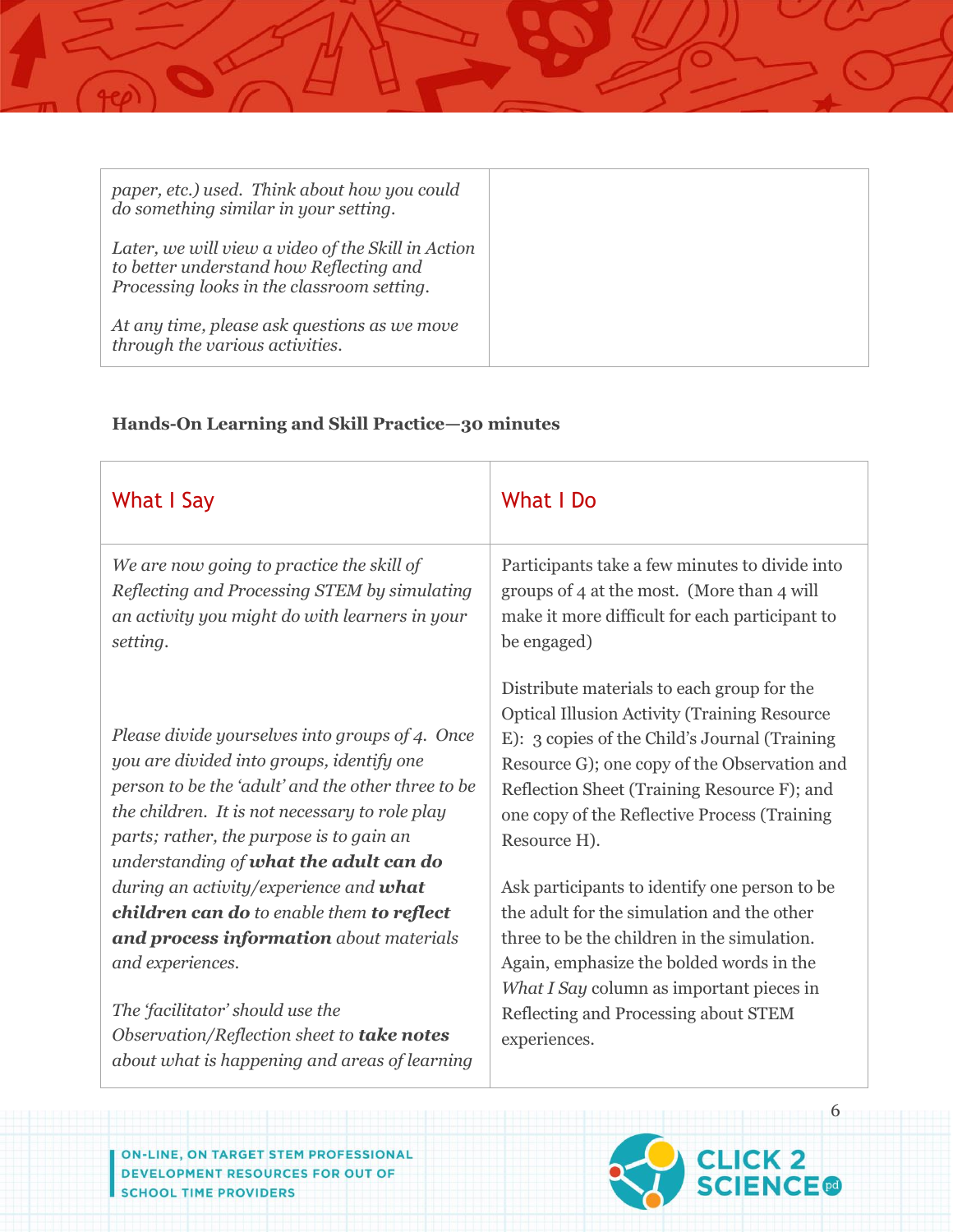| paper, etc.) used. Think about how you could<br>do something similar in your setting.                                                       |  |
|---------------------------------------------------------------------------------------------------------------------------------------------|--|
| Later, we will view a video of the Skill in Action<br>to better understand how Reflecting and<br>Processing looks in the classroom setting. |  |
| At any time, please ask questions as we move<br>through the various activities.                                                             |  |

## **Hands-On Learning and Skill Practice—30 minutes**

| What I Say                                                                                                                                                                                                                                                                                 | What I Do                                                                                                                                                                                                                                                                                                         |  |
|--------------------------------------------------------------------------------------------------------------------------------------------------------------------------------------------------------------------------------------------------------------------------------------------|-------------------------------------------------------------------------------------------------------------------------------------------------------------------------------------------------------------------------------------------------------------------------------------------------------------------|--|
| We are now going to practice the skill of<br>Reflecting and Processing STEM by simulating<br>an activity you might do with learners in your<br>setting.                                                                                                                                    | Participants take a few minutes to divide into<br>groups of 4 at the most. (More than 4 will<br>make it more difficult for each participant to<br>be engaged)                                                                                                                                                     |  |
| Please divide yourselves into groups of 4. Once<br>you are divided into groups, identify one<br>person to be the 'adult' and the other three to be<br>the children. It is not necessary to role play<br>parts; rather, the purpose is to gain an<br>understanding of what the adult can do | Distribute materials to each group for the<br><b>Optical Illusion Activity (Training Resource</b><br>E): 3 copies of the Child's Journal (Training<br>Resource G); one copy of the Observation and<br>Reflection Sheet (Training Resource F); and<br>one copy of the Reflective Process (Training<br>Resource H). |  |
| during an activity/experience and what                                                                                                                                                                                                                                                     | Ask participants to identify one person to be                                                                                                                                                                                                                                                                     |  |
| children can do to enable them to reflect                                                                                                                                                                                                                                                  | the adult for the simulation and the other                                                                                                                                                                                                                                                                        |  |
| and process information about materials                                                                                                                                                                                                                                                    | three to be the children in the simulation.                                                                                                                                                                                                                                                                       |  |
| and experiences.                                                                                                                                                                                                                                                                           | Again, emphasize the bolded words in the                                                                                                                                                                                                                                                                          |  |
| The 'facilitator' should use the<br>Observation/Reflection sheet to take notes<br>about what is happening and areas of learning                                                                                                                                                            | What I Say column as important pieces in<br>Reflecting and Processing about STEM<br>experiences.                                                                                                                                                                                                                  |  |

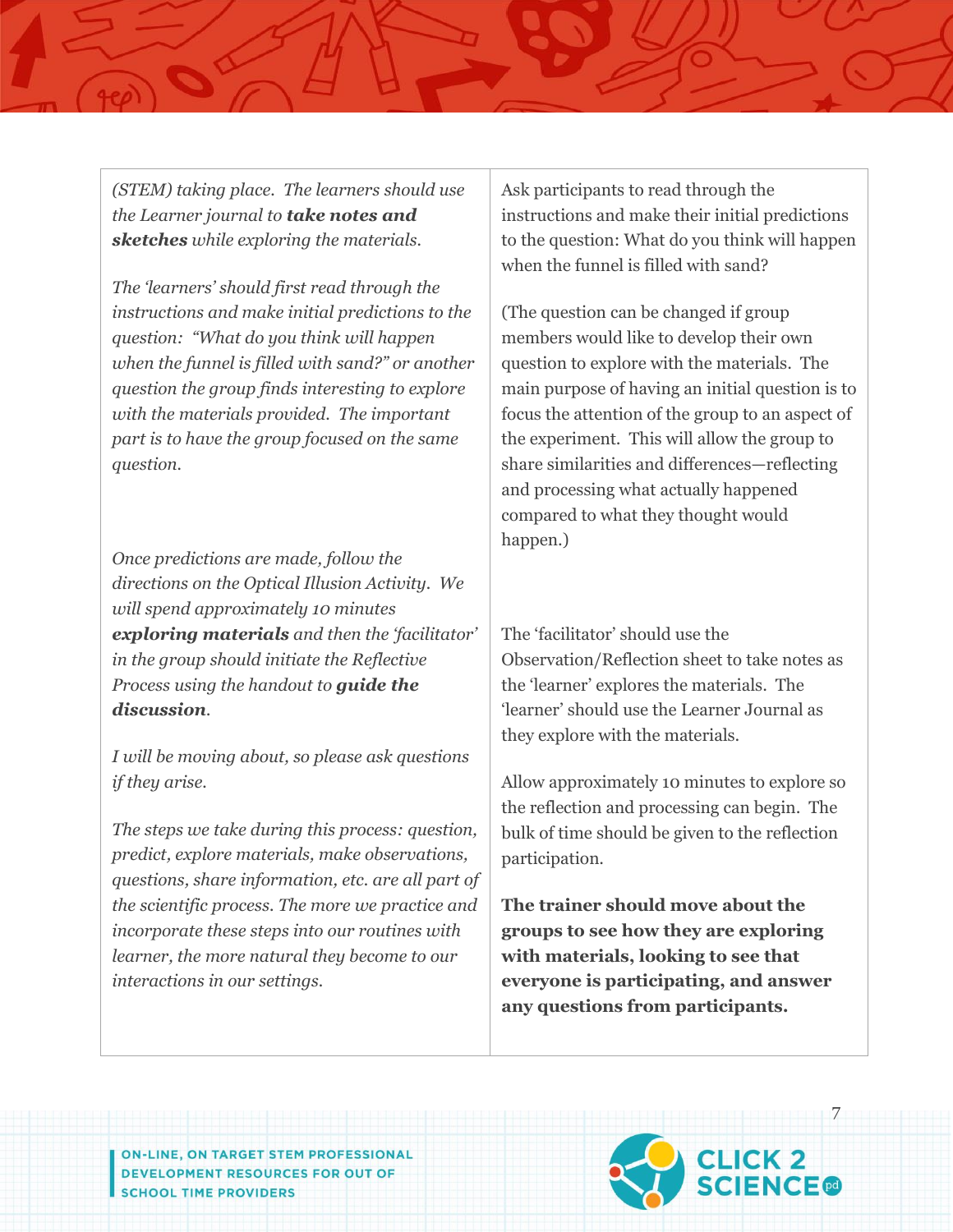*(STEM) taking place. The learners should use the Learner journal to take notes and sketches while exploring the materials.* 

*The 'learners' should first read through the instructions and make initial predictions to the question: "What do you think will happen when the funnel is filled with sand?" or another question the group finds interesting to explore with the materials provided. The important part is to have the group focused on the same question.*

*Once predictions are made, follow the directions on the Optical Illusion Activity. We will spend approximately 10 minutes exploring materials and then the 'facilitator' in the group should initiate the Reflective Process using the handout to guide the discussion*.

*I will be moving about, so please ask questions if they arise.*

*The steps we take during this process: question, predict, explore materials, make observations, questions, share information, etc. are all part of the scientific process. The more we practice and incorporate these steps into our routines with learner, the more natural they become to our interactions in our settings.*

Ask participants to read through the instructions and make their initial predictions to the question: What do you think will happen when the funnel is filled with sand?

(The question can be changed if group members would like to develop their own question to explore with the materials. The main purpose of having an initial question is to focus the attention of the group to an aspect of the experiment. This will allow the group to share similarities and differences—reflecting and processing what actually happened compared to what they thought would happen.)

The 'facilitator' should use the Observation/Reflection sheet to take notes as the 'learner' explores the materials. The 'learner' should use the Learner Journal as they explore with the materials.

Allow approximately 10 minutes to explore so the reflection and processing can begin. The bulk of time should be given to the reflection participation.

**The trainer should move about the groups to see how they are exploring with materials, looking to see that everyone is participating, and answer any questions from participants.**

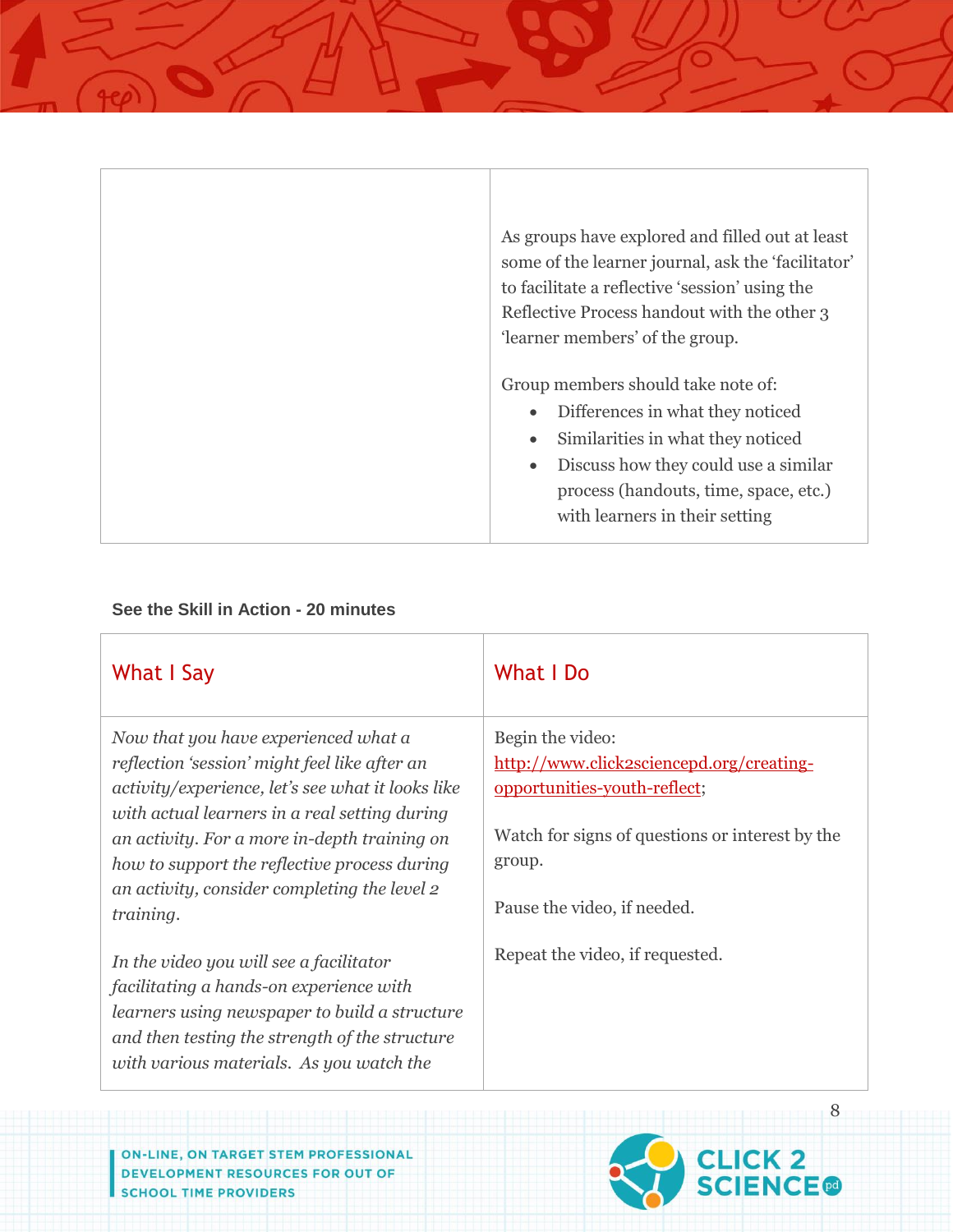| As groups have explored and filled out at least<br>some of the learner journal, ask the 'facilitator'<br>to facilitate a reflective 'session' using the                                                                        |
|--------------------------------------------------------------------------------------------------------------------------------------------------------------------------------------------------------------------------------|
| Reflective Process handout with the other 3                                                                                                                                                                                    |
| 'learner members' of the group.                                                                                                                                                                                                |
| Group members should take note of:<br>Differences in what they noticed<br>Similarities in what they noticed<br>Discuss how they could use a similar<br>process (handouts, time, space, etc.)<br>with learners in their setting |

## **See the Skill in Action - 20 minutes**

| What I Say                                                                                                                                                                                                                        | What I Do                                                 |
|-----------------------------------------------------------------------------------------------------------------------------------------------------------------------------------------------------------------------------------|-----------------------------------------------------------|
| Now that you have experienced what a                                                                                                                                                                                              | Begin the video:                                          |
| reflection 'session' might feel like after an                                                                                                                                                                                     | http://www.click2sciencepd.org/creating-                  |
| activity/experience, let's see what it looks like                                                                                                                                                                                 | opportunities-youth-reflect;                              |
| with actual learners in a real setting during<br>an activity. For a more in-depth training on<br>how to support the reflective process during<br>an activity, consider completing the level 2                                     | Watch for signs of questions or interest by the<br>group. |
| training.                                                                                                                                                                                                                         | Pause the video, if needed.                               |
| In the video you will see a facilitator<br>facilitating a hands-on experience with<br>learners using newspaper to build a structure<br>and then testing the strength of the structure<br>with various materials. As you watch the | Repeat the video, if requested.                           |

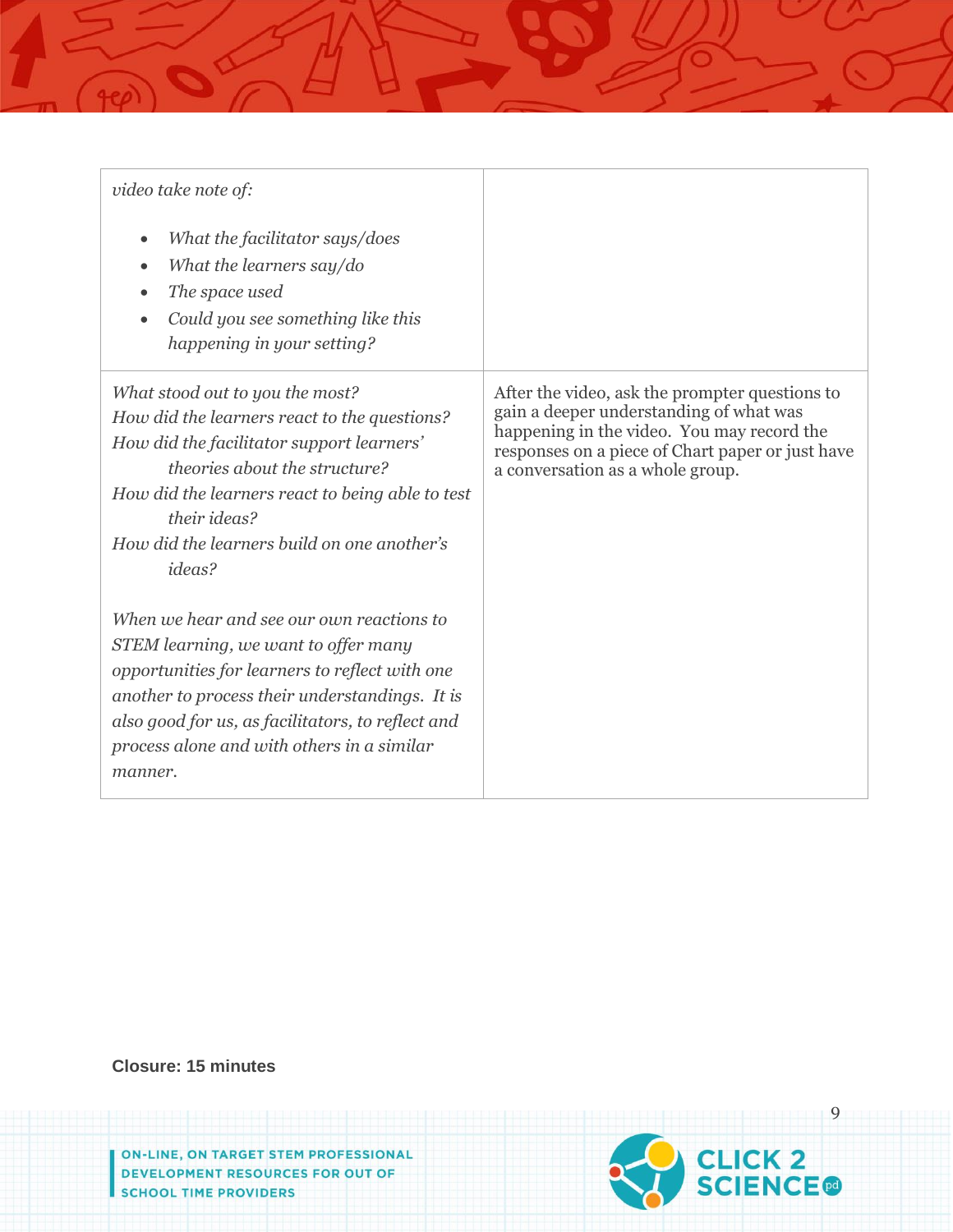| video take note of:                                                                                                                                                                                                                                                                                 |                                                                                                                                                                                                                                 |
|-----------------------------------------------------------------------------------------------------------------------------------------------------------------------------------------------------------------------------------------------------------------------------------------------------|---------------------------------------------------------------------------------------------------------------------------------------------------------------------------------------------------------------------------------|
| What the facilitator says/does<br>$\bullet$<br>What the learners say/do<br>The space used<br>Could you see something like this<br>happening in your setting?                                                                                                                                        |                                                                                                                                                                                                                                 |
| What stood out to you the most?<br>How did the learners react to the questions?<br>How did the facilitator support learners'<br>theories about the structure?<br>How did the learners react to being able to test<br>their ideas?<br>How did the learners build on one another's<br><i>ideas?</i>   | After the video, ask the prompter questions to<br>gain a deeper understanding of what was<br>happening in the video. You may record the<br>responses on a piece of Chart paper or just have<br>a conversation as a whole group. |
| When we hear and see our own reactions to<br>STEM learning, we want to offer many<br>opportunities for learners to reflect with one<br>another to process their understandings. It is<br>also good for us, as facilitators, to reflect and<br>process alone and with others in a similar<br>manner. |                                                                                                                                                                                                                                 |

**Closure: 15 minutes**

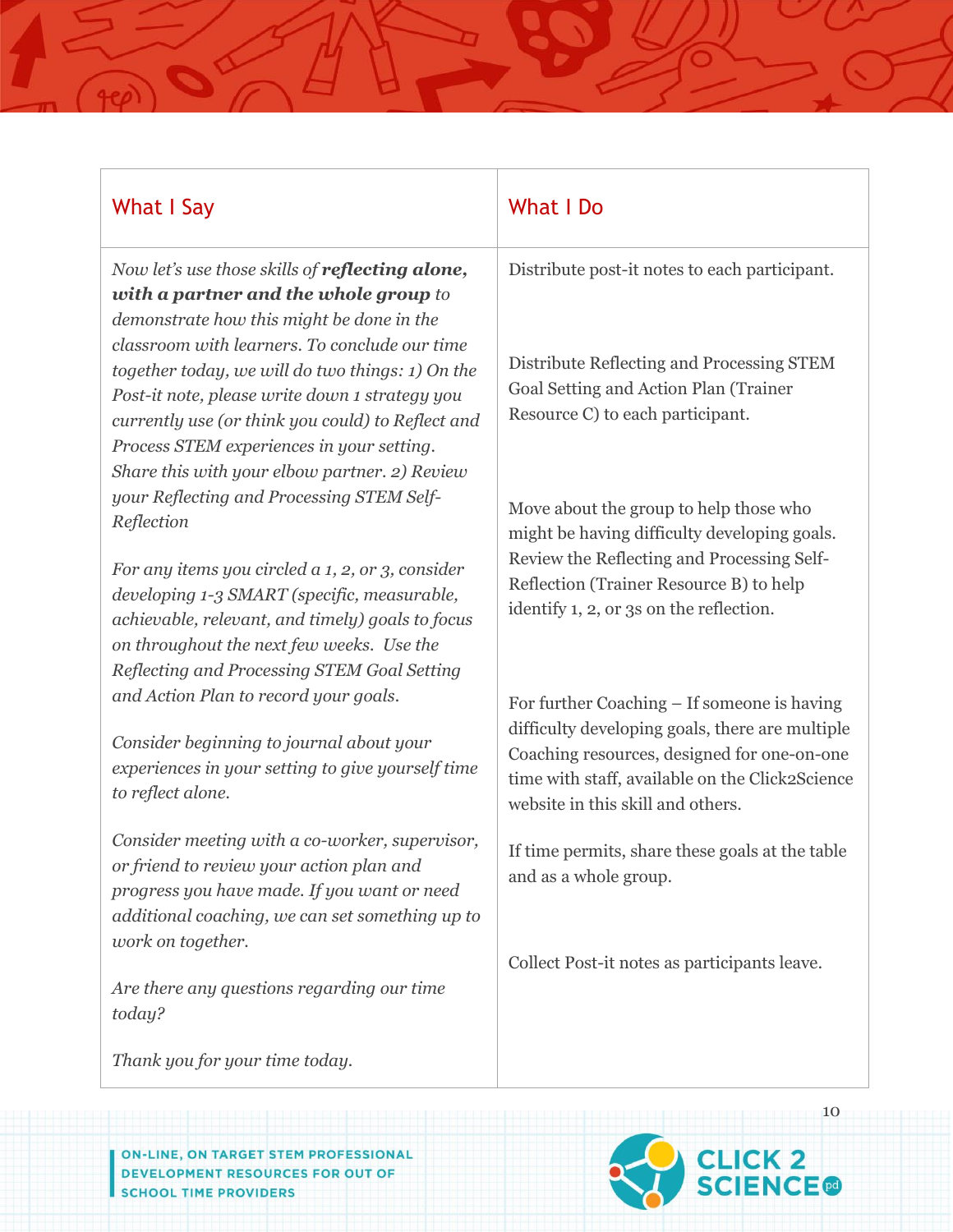| What I Say                                                                                                                                                                                                                                                                                             | What I Do                                                                                                                                                                              |  |
|--------------------------------------------------------------------------------------------------------------------------------------------------------------------------------------------------------------------------------------------------------------------------------------------------------|----------------------------------------------------------------------------------------------------------------------------------------------------------------------------------------|--|
| Now let's use those skills of reflecting alone,<br>with a partner and the whole group to<br>demonstrate how this might be done in the                                                                                                                                                                  | Distribute post-it notes to each participant.                                                                                                                                          |  |
| classroom with learners. To conclude our time<br>together today, we will do two things: 1) On the<br>Post-it note, please write down 1 strategy you<br>currently use (or think you could) to Reflect and<br>Process STEM experiences in your setting.<br>Share this with your elbow partner. 2) Review | Distribute Reflecting and Processing STEM<br>Goal Setting and Action Plan (Trainer<br>Resource C) to each participant.                                                                 |  |
| your Reflecting and Processing STEM Self-<br>Reflection                                                                                                                                                                                                                                                | Move about the group to help those who<br>might be having difficulty developing goals.                                                                                                 |  |
| For any items you circled a 1, 2, or 3, consider<br>developing 1-3 SMART (specific, measurable,<br>achievable, relevant, and timely) goals to focus<br>on throughout the next few weeks. Use the<br>Reflecting and Processing STEM Goal Setting                                                        | Review the Reflecting and Processing Self-<br>Reflection (Trainer Resource B) to help<br>identify 1, 2, or 3s on the reflection.                                                       |  |
| and Action Plan to record your goals.                                                                                                                                                                                                                                                                  | For further Coaching – If someone is having                                                                                                                                            |  |
| Consider beginning to journal about your<br>experiences in your setting to give yourself time<br>to reflect alone.                                                                                                                                                                                     | difficulty developing goals, there are multiple<br>Coaching resources, designed for one-on-one<br>time with staff, available on the Click2Science<br>website in this skill and others. |  |
| Consider meeting with a co-worker, supervisor,<br>or friend to review your action plan and<br>progress you have made. If you want or need<br>additional coaching, we can set something up to                                                                                                           | If time permits, share these goals at the table<br>and as a whole group.                                                                                                               |  |
| work on together.<br>Are there any questions regarding our time<br>today?                                                                                                                                                                                                                              | Collect Post-it notes as participants leave.                                                                                                                                           |  |
| Thank you for your time today.                                                                                                                                                                                                                                                                         |                                                                                                                                                                                        |  |

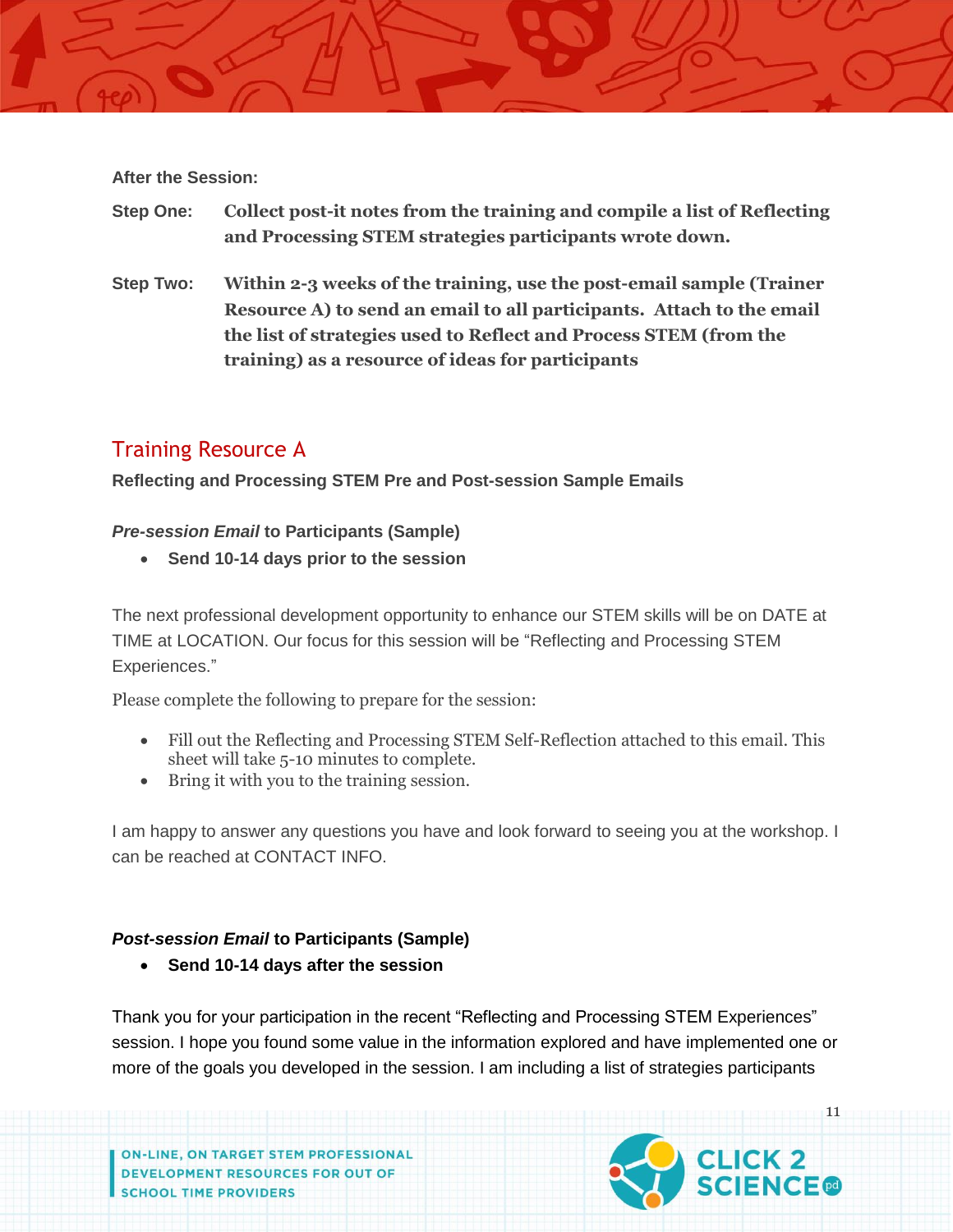#### **After the Session:**

- **Step One: Collect post-it notes from the training and compile a list of Reflecting and Processing STEM strategies participants wrote down.**
- **Step Two: Within 2-3 weeks of the training, use the post-email sample (Trainer Resource A) to send an email to all participants. Attach to the email the list of strategies used to Reflect and Process STEM (from the training) as a resource of ideas for participants**

## Training Resource A

**Reflecting and Processing STEM Pre and Post-session Sample Emails**

#### *Pre-session Email* **to Participants (Sample)**

**Send 10-14 days prior to the session**

The next professional development opportunity to enhance our STEM skills will be on DATE at TIME at LOCATION. Our focus for this session will be "Reflecting and Processing STEM Experiences."

Please complete the following to prepare for the session:

- Fill out the Reflecting and Processing STEM Self-Reflection attached to this email. This sheet will take 5-10 minutes to complete.
- Bring it with you to the training session.

I am happy to answer any questions you have and look forward to seeing you at the workshop. I can be reached at CONTACT INFO.

## *Post-session Email* **to Participants (Sample)**

**Send 10-14 days after the session**

Thank you for your participation in the recent "Reflecting and Processing STEM Experiences" session. I hope you found some value in the information explored and have implemented one or more of the goals you developed in the session. I am including a list of strategies participants

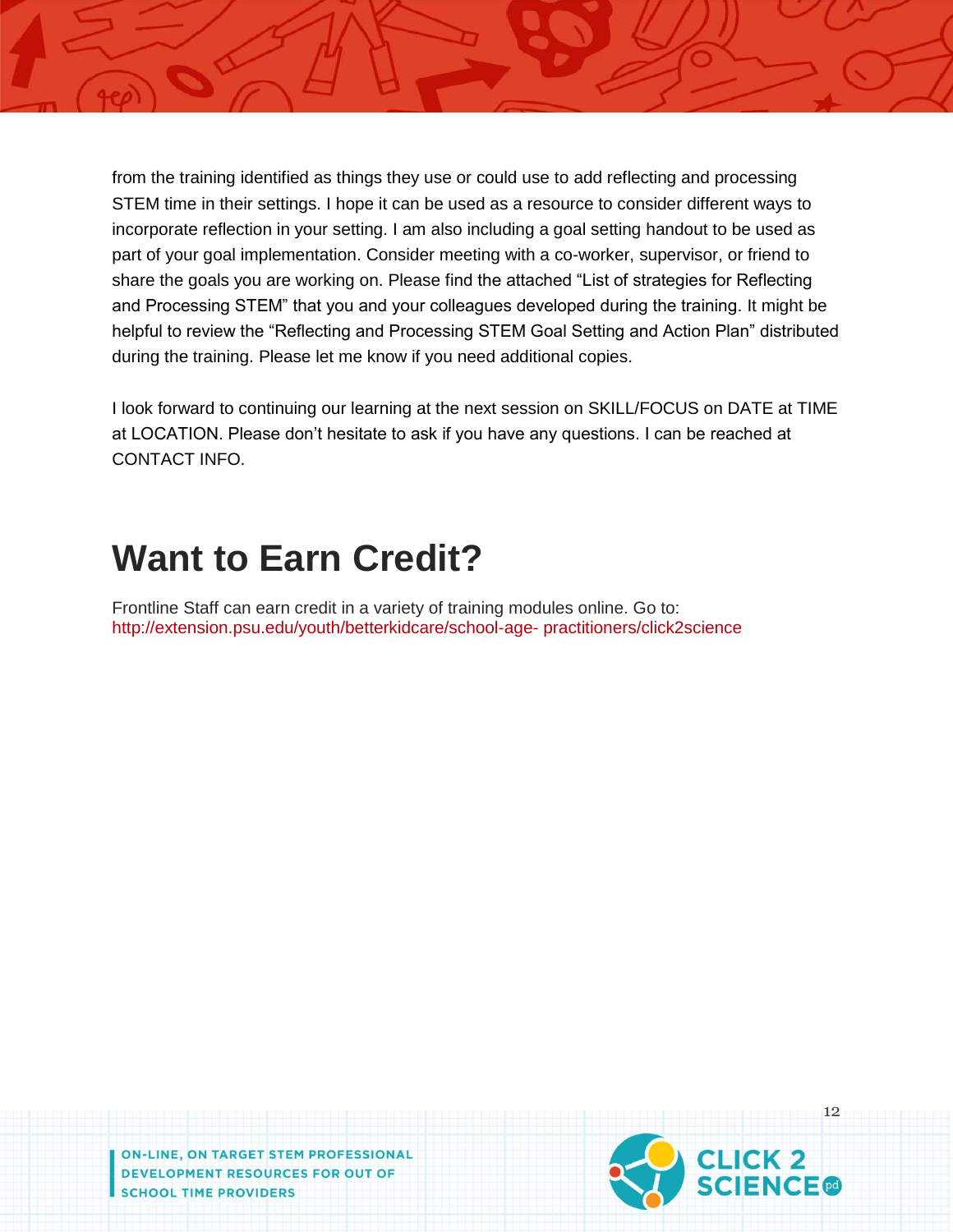from the training identified as things they use or could use to add reflecting and processing STEM time in their settings. I hope it can be used as a resource to consider different ways to incorporate reflection in your setting. I am also including a goal setting handout to be used as part of your goal implementation. Consider meeting with a co-worker, supervisor, or friend to share the goals you are working on. Please find the attached "List of strategies for Reflecting and Processing STEM" that you and your colleagues developed during the training. It might be helpful to review the "Reflecting and Processing STEM Goal Setting and Action Plan" distributed during the training. Please let me know if you need additional copies.

I look forward to continuing our learning at the next session on SKILL/FOCUS on DATE at TIME at LOCATION. Please don't hesitate to ask if you have any questions. I can be reached at CONTACT INFO.

# **Want to Earn Credit?**

Frontline Staff can earn credit in a variety of training modules online. Go to: http://extension.psu.edu/youth/betterkidcare/school-age- practitioners/click2science

ON-LINE, ON TARGET STEM PROFESSIONAL **DEVELOPMENT RESOURCES FOR OUT OF SCHOOL TIME PROVIDERS** 

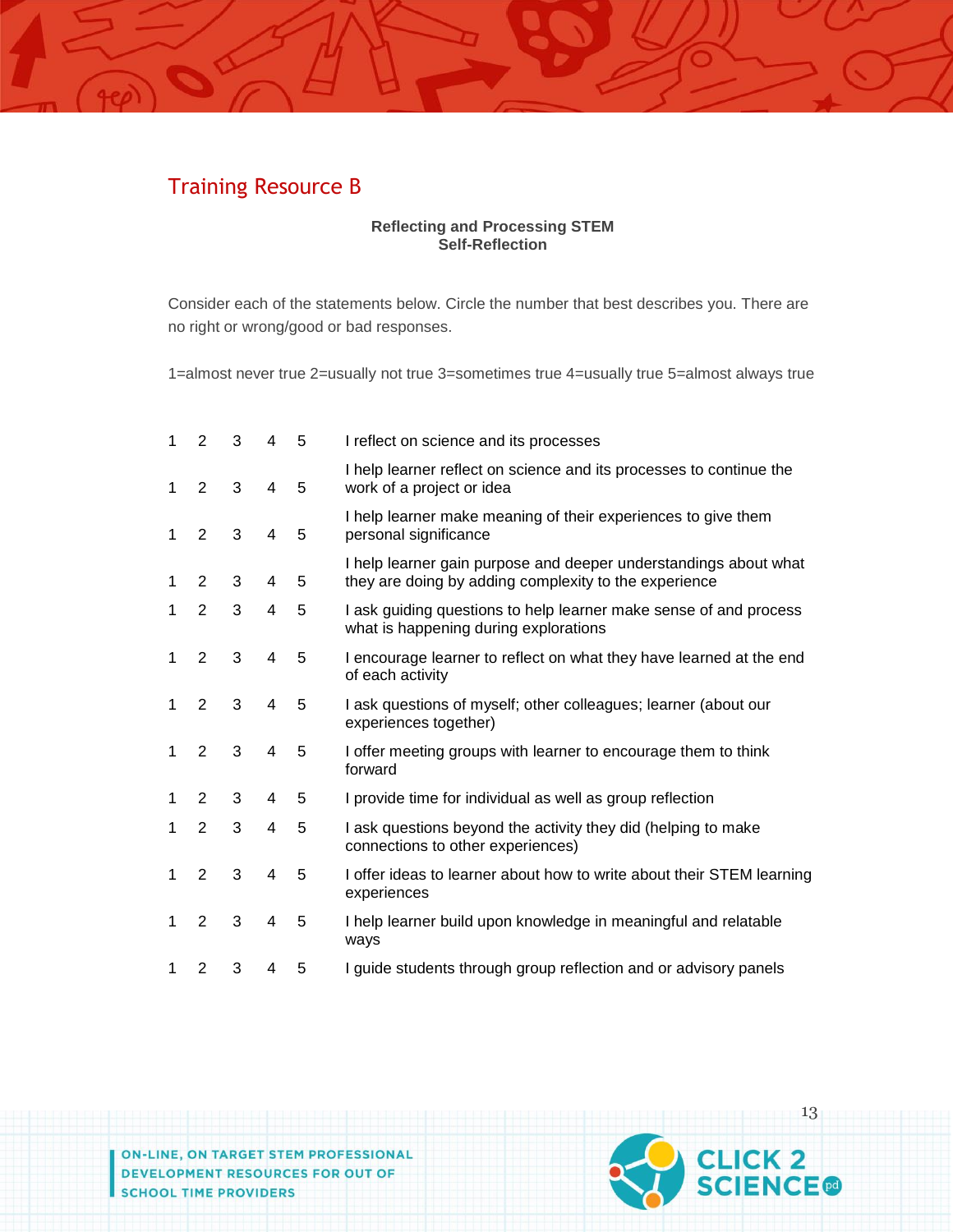## Training Resource B

#### **Reflecting and Processing STEM Self-Reflection**

Consider each of the statements below. Circle the number that best describes you. There are no right or wrong/good or bad responses.

1=almost never true 2=usually not true 3=sometimes true 4=usually true 5=almost always true

| 1 | 2              | 3 | 4 | 5 | I reflect on science and its processes                                                                                    |
|---|----------------|---|---|---|---------------------------------------------------------------------------------------------------------------------------|
| 1 | 2              | 3 | 4 | 5 | I help learner reflect on science and its processes to continue the<br>work of a project or idea                          |
| 1 | 2              | 3 | 4 | 5 | I help learner make meaning of their experiences to give them<br>personal significance                                    |
| 1 | 2              | 3 | 4 | 5 | I help learner gain purpose and deeper understandings about what<br>they are doing by adding complexity to the experience |
| 1 | 2              | 3 | 4 | 5 | I ask guiding questions to help learner make sense of and process<br>what is happening during explorations                |
| 1 | 2              | 3 | 4 | 5 | I encourage learner to reflect on what they have learned at the end<br>of each activity                                   |
| 1 | 2              | 3 | 4 | 5 | I ask questions of myself; other colleagues; learner (about our<br>experiences together)                                  |
| 1 | 2              | 3 | 4 | 5 | I offer meeting groups with learner to encourage them to think<br>forward                                                 |
| 1 | $\overline{2}$ | 3 | 4 | 5 | I provide time for individual as well as group reflection                                                                 |
| 1 | $\overline{2}$ | 3 | 4 | 5 | I ask questions beyond the activity they did (helping to make<br>connections to other experiences)                        |
| 1 | $\overline{2}$ | 3 | 4 | 5 | I offer ideas to learner about how to write about their STEM learning<br>experiences                                      |
| 1 | $\overline{2}$ | 3 | 4 | 5 | I help learner build upon knowledge in meaningful and relatable<br>ways                                                   |
| 1 | $\overline{2}$ | 3 | 4 | 5 | I guide students through group reflection and or advisory panels                                                          |

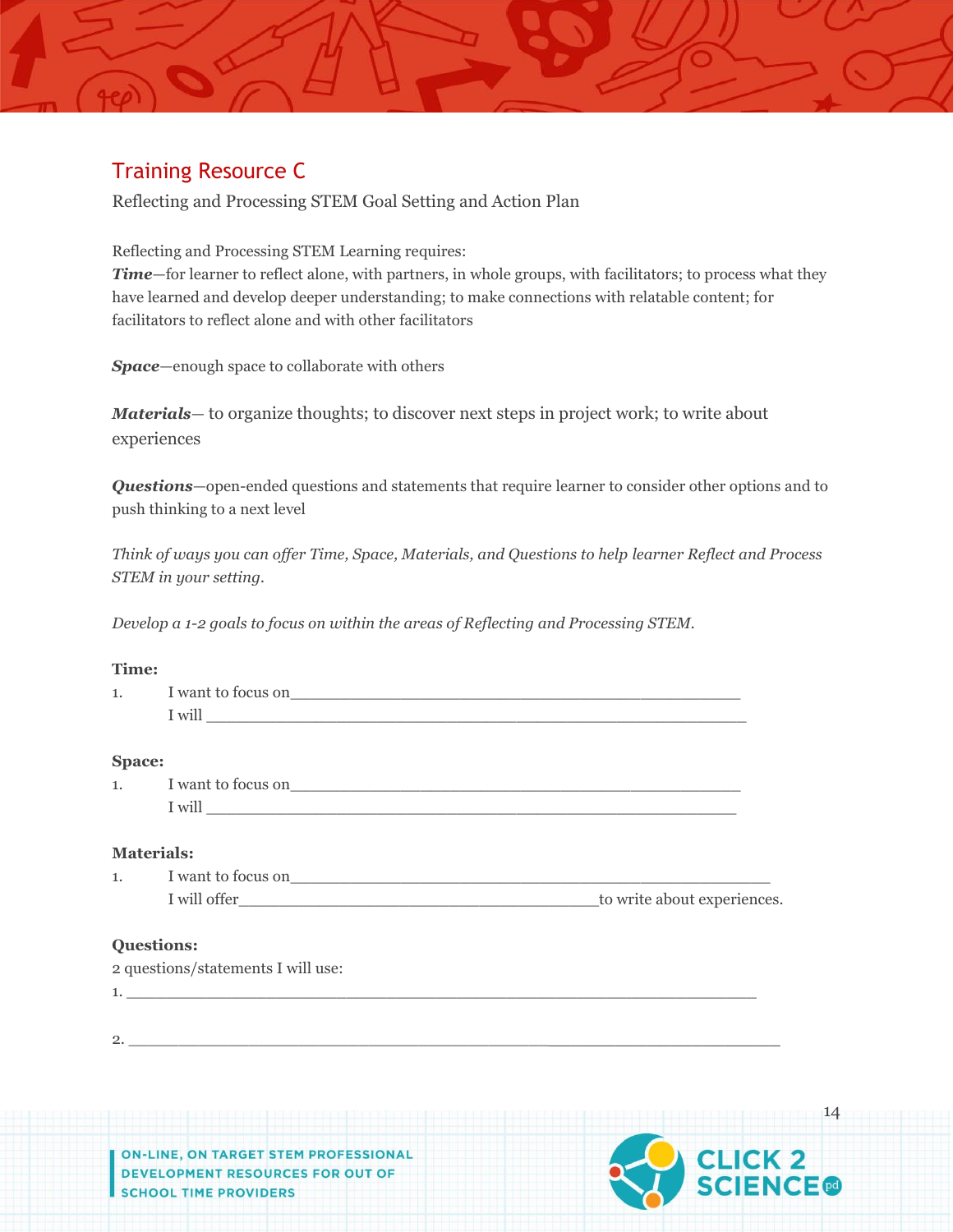## Training Resource C

Reflecting and Processing STEM Goal Setting and Action Plan

#### Reflecting and Processing STEM Learning requires:

*Time*—for learner to reflect alone, with partners, in whole groups, with facilitators; to process what they have learned and develop deeper understanding; to make connections with relatable content; for facilitators to reflect alone and with other facilitators

*Space*—enough space to collaborate with others

*Materials*— to organize thoughts; to discover next steps in project work; to write about experiences

*Questions*—open-ended questions and statements that require learner to consider other options and to push thinking to a next level

*Think of ways you can offer Time, Space, Materials, and Questions to help learner Reflect and Process STEM in your setting.*

*Develop a 1-2 goals to focus on within the areas of Reflecting and Processing STEM.*

#### **Time:**

| 1. |                                    |  |
|----|------------------------------------|--|
|    |                                    |  |
|    | <b>Space:</b>                      |  |
|    |                                    |  |
|    |                                    |  |
|    | <b>Materials:</b>                  |  |
|    | 1. I want to focus on              |  |
|    |                                    |  |
|    | <b>Questions:</b>                  |  |
|    | 2 questions/statements I will use: |  |
|    |                                    |  |
|    |                                    |  |
|    | $2.$ $\overline{\phantom{a}}$      |  |
|    |                                    |  |
|    |                                    |  |
|    |                                    |  |
|    |                                    |  |
|    |                                    |  |

ON TARGET STEM PROFESSIONAL DEVELOPMENT RESOURCES FOR OUT OF **SCHOOL TIME PROVIDERS** 

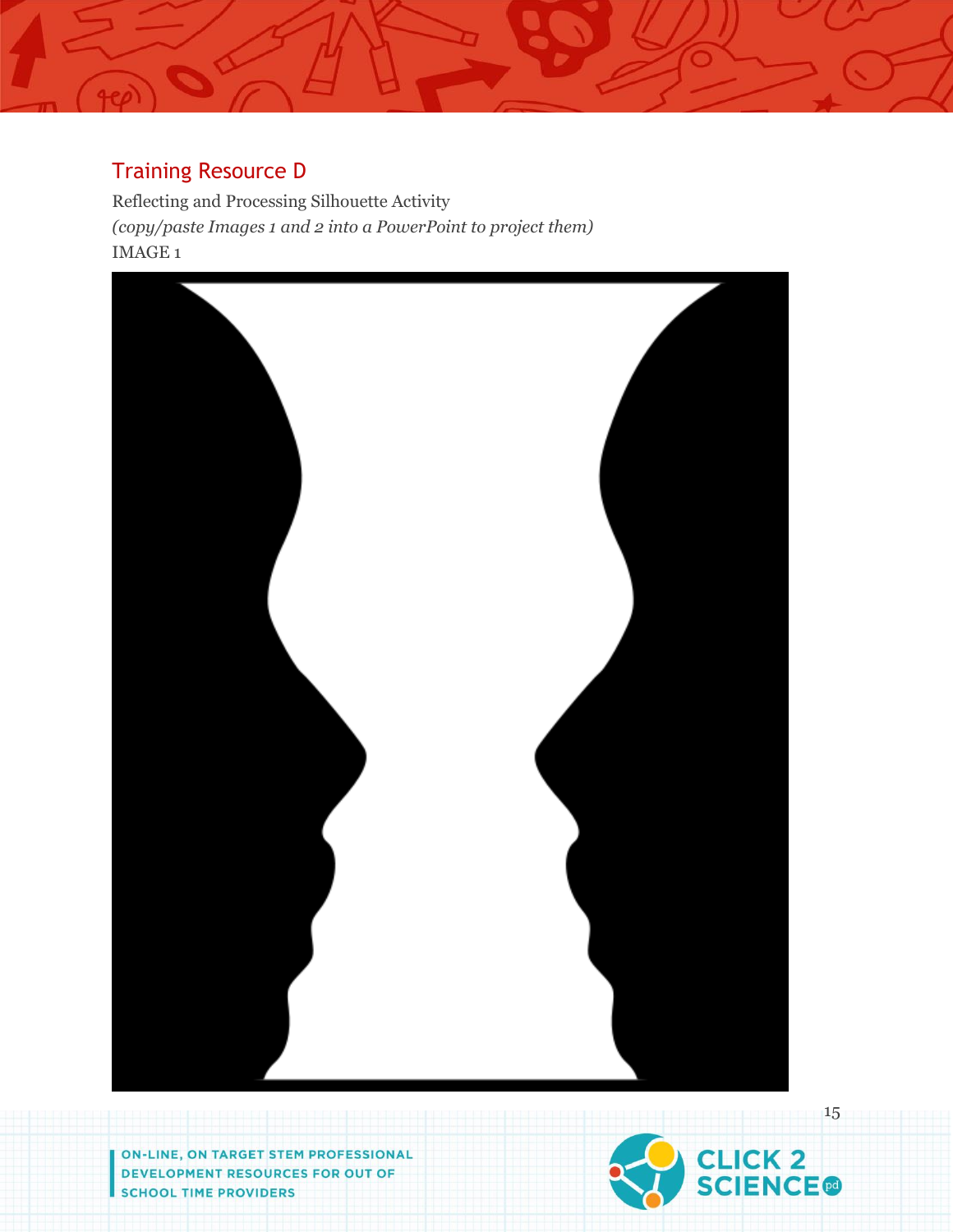## Training Resource D

Reflecting and Processing Silhouette Activity *(copy/paste Images 1 and 2 into a PowerPoint to project them)* IMAGE 1



ON-LINE, ON TARGET STEM PROFESSIONAL **DEVELOPMENT RESOURCES FOR OUT OF SCHOOL TIME PROVIDERS** 

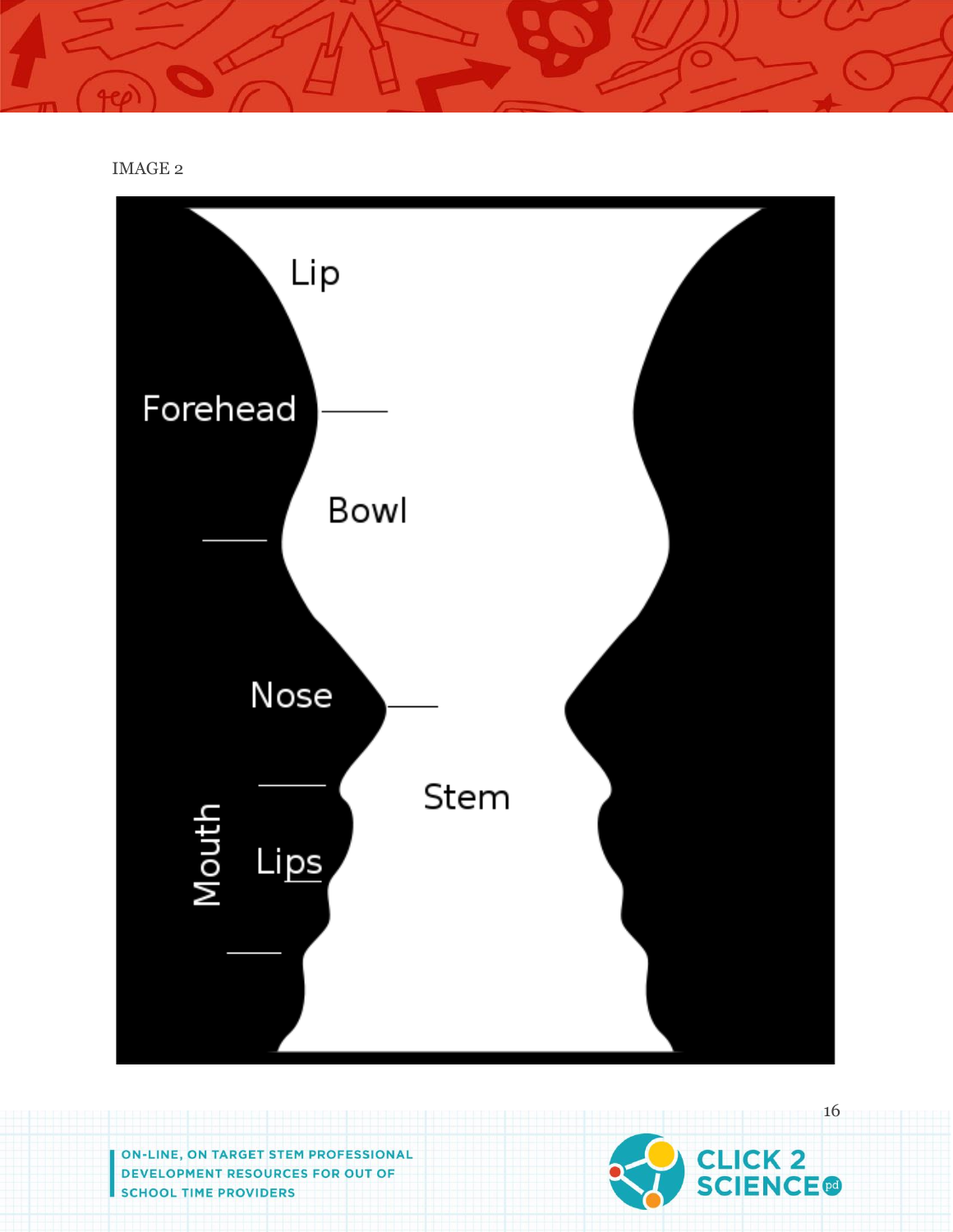IMAGE 2



ON-LINE, ON TARGET STEM PROFESSIONAL DEVELOPMENT RESOURCES FOR OUT OF **SCHOOL TIME PROVIDERS** 

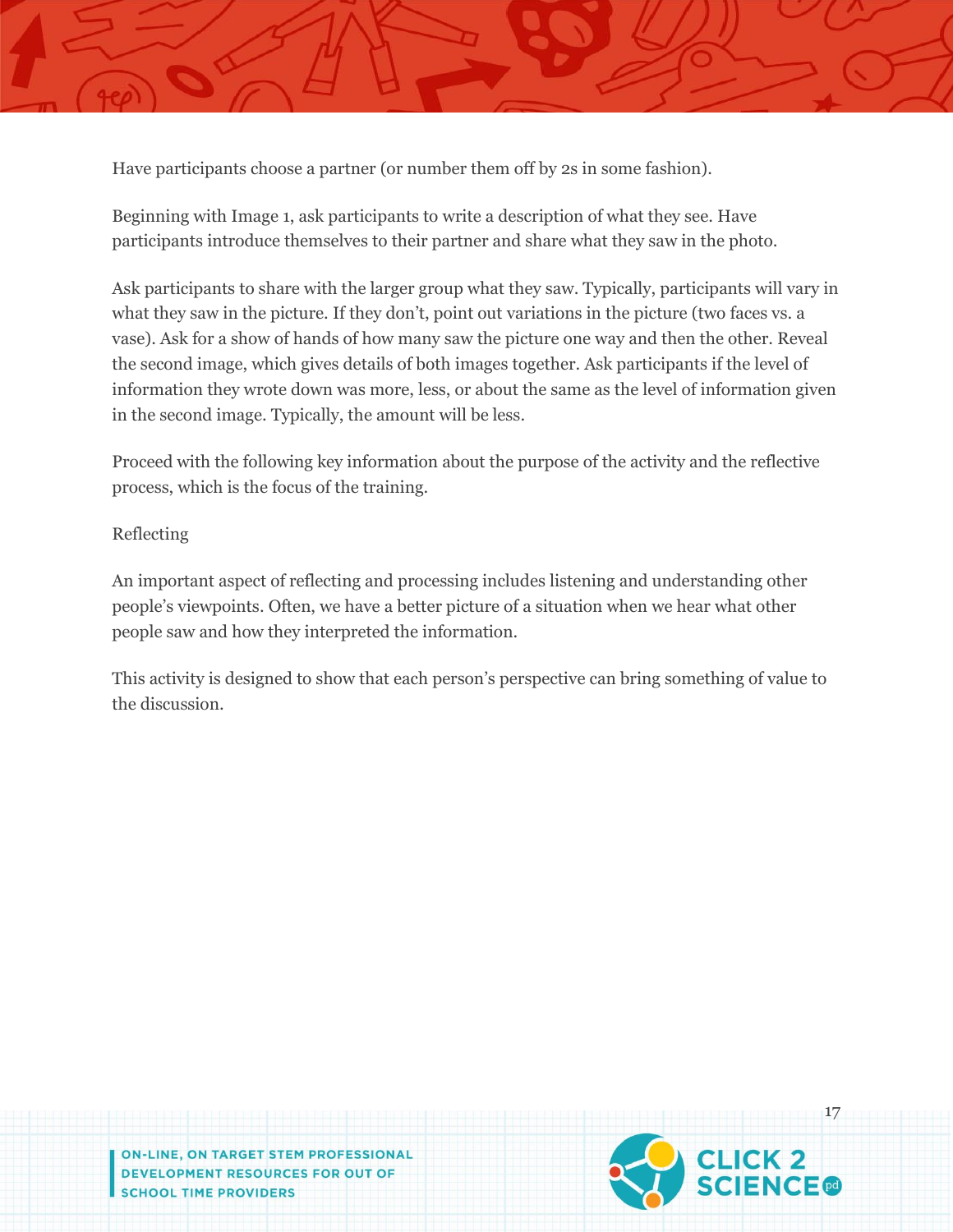

Beginning with Image 1, ask participants to write a description of what they see. Have participants introduce themselves to their partner and share what they saw in the photo.

Ask participants to share with the larger group what they saw. Typically, participants will vary in what they saw in the picture. If they don't, point out variations in the picture (two faces vs. a vase). Ask for a show of hands of how many saw the picture one way and then the other. Reveal the second image, which gives details of both images together. Ask participants if the level of information they wrote down was more, less, or about the same as the level of information given in the second image. Typically, the amount will be less.

Proceed with the following key information about the purpose of the activity and the reflective process, which is the focus of the training.

## Reflecting

An important aspect of reflecting and processing includes listening and understanding other people's viewpoints. Often, we have a better picture of a situation when we hear what other people saw and how they interpreted the information.

This activity is designed to show that each person's perspective can bring something of value to the discussion.

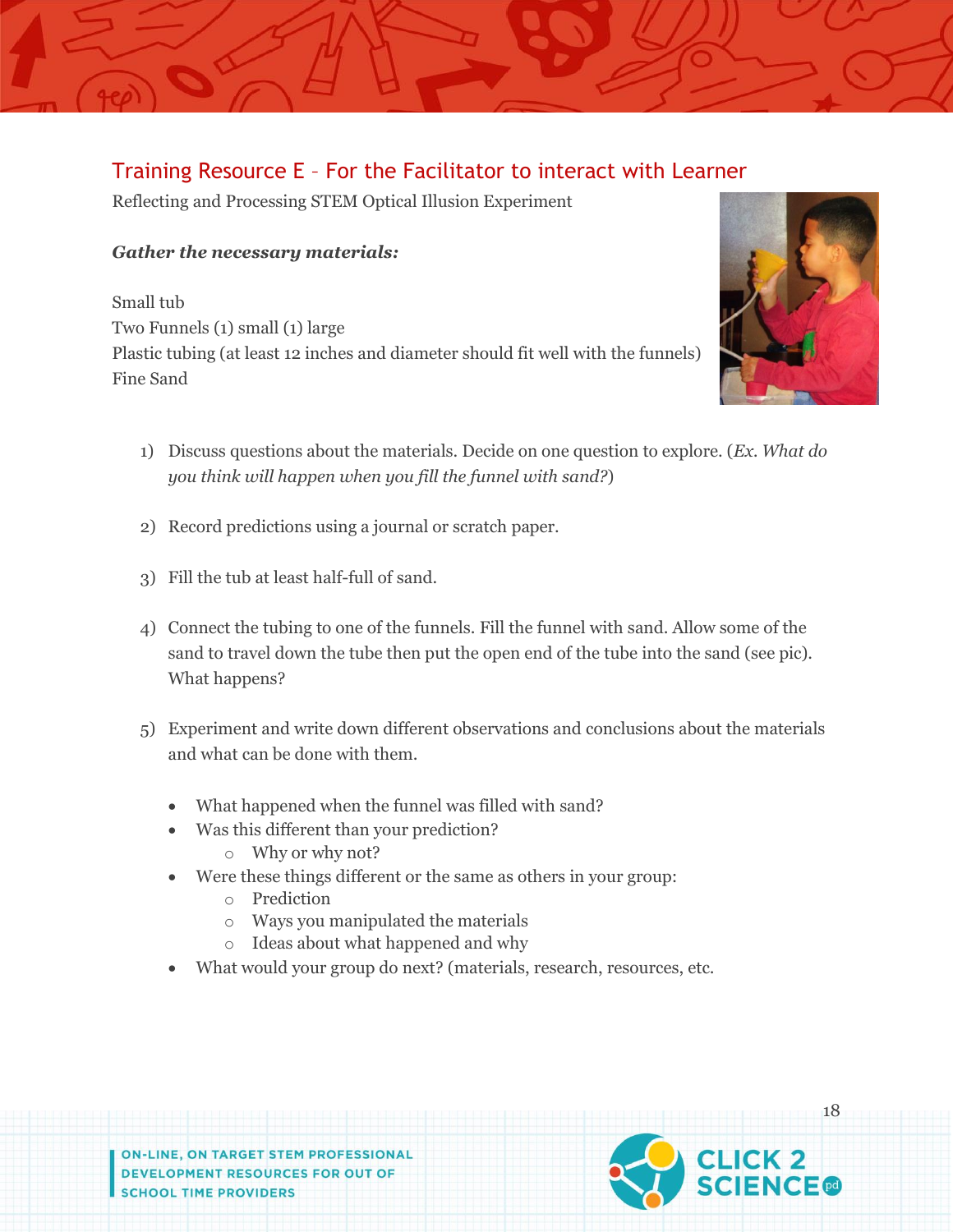## Training Resource E – For the Facilitator to interact with Learner

Reflecting and Processing STEM Optical Illusion Experiment

## *Gather the necessary materials:*

Small tub Two Funnels (1) small (1) large Plastic tubing (at least 12 inches and diameter should fit well with the funnels) Fine Sand



- 1) Discuss questions about the materials. Decide on one question to explore. (*Ex. What do you think will happen when you fill the funnel with sand?*)
- 2) Record predictions using a journal or scratch paper.
- 3) Fill the tub at least half-full of sand.
- 4) Connect the tubing to one of the funnels. Fill the funnel with sand. Allow some of the sand to travel down the tube then put the open end of the tube into the sand (see pic). What happens?
- 5) Experiment and write down different observations and conclusions about the materials and what can be done with them.
	- What happened when the funnel was filled with sand?
	- Was this different than your prediction?
		- o Why or why not?
	- Were these things different or the same as others in your group:
		- o Prediction
		- o Ways you manipulated the materials
		- o Ideas about what happened and why
	- What would your group do next? (materials, research, resources, etc.

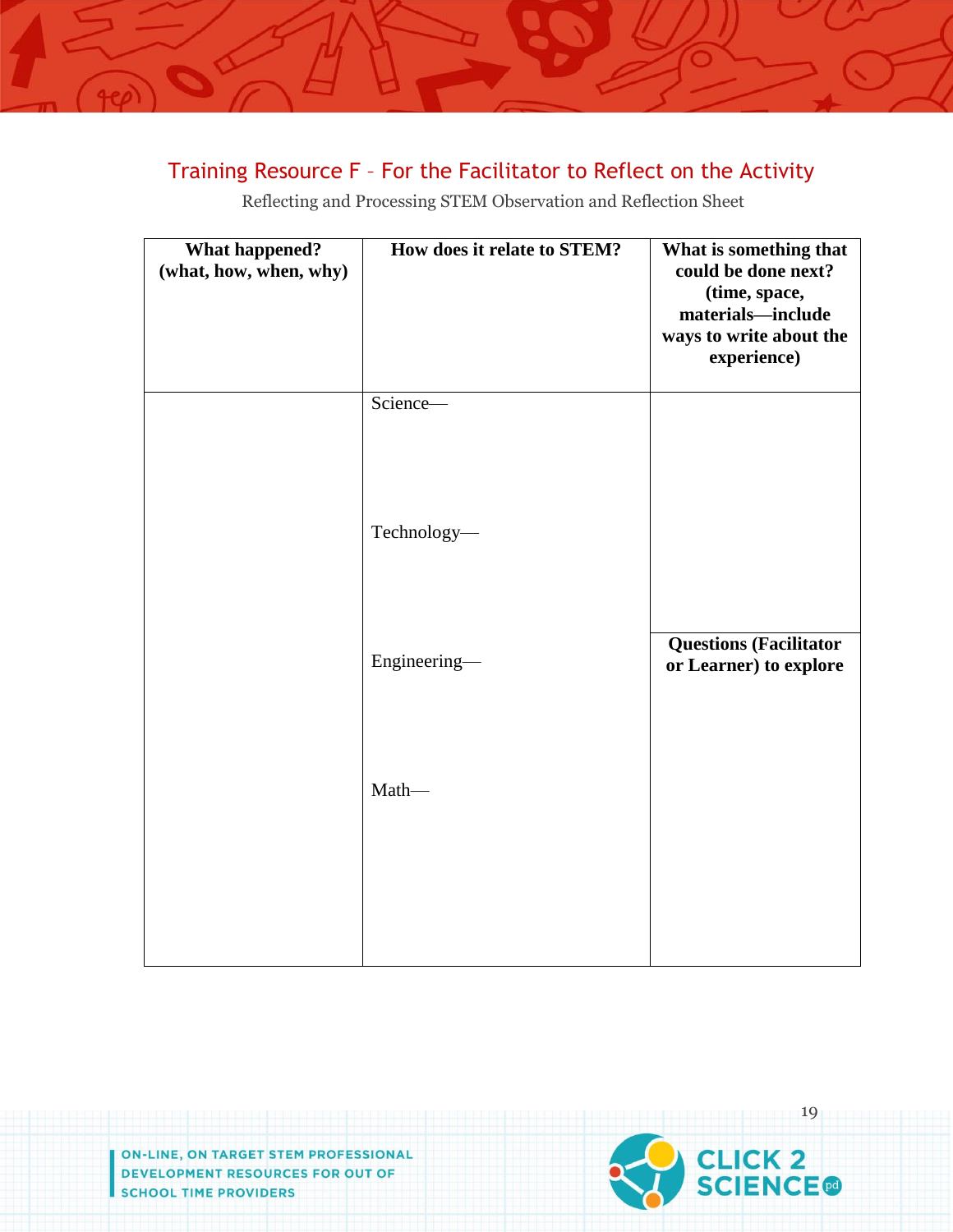## Training Resource F – For the Facilitator to Reflect on the Activity

Reflecting and Processing STEM Observation and Reflection Sheet

| <b>What happened?</b><br>(what, how, when, why) | How does it relate to STEM? | What is something that<br>could be done next?<br>(time, space,<br>materials-include<br>ways to write about the<br>experience) |
|-------------------------------------------------|-----------------------------|-------------------------------------------------------------------------------------------------------------------------------|
|                                                 | Science-                    |                                                                                                                               |
|                                                 | Technology-                 |                                                                                                                               |
|                                                 | Engineering-                | <b>Questions (Facilitator</b><br>or Learner) to explore                                                                       |
|                                                 | Math-                       |                                                                                                                               |
|                                                 |                             |                                                                                                                               |

ON-LINE, ON TARGET STEM PROFESSIONAL **DEVELOPMENT RESOURCES FOR OUT OF SCHOOL TIME PROVIDERS** 

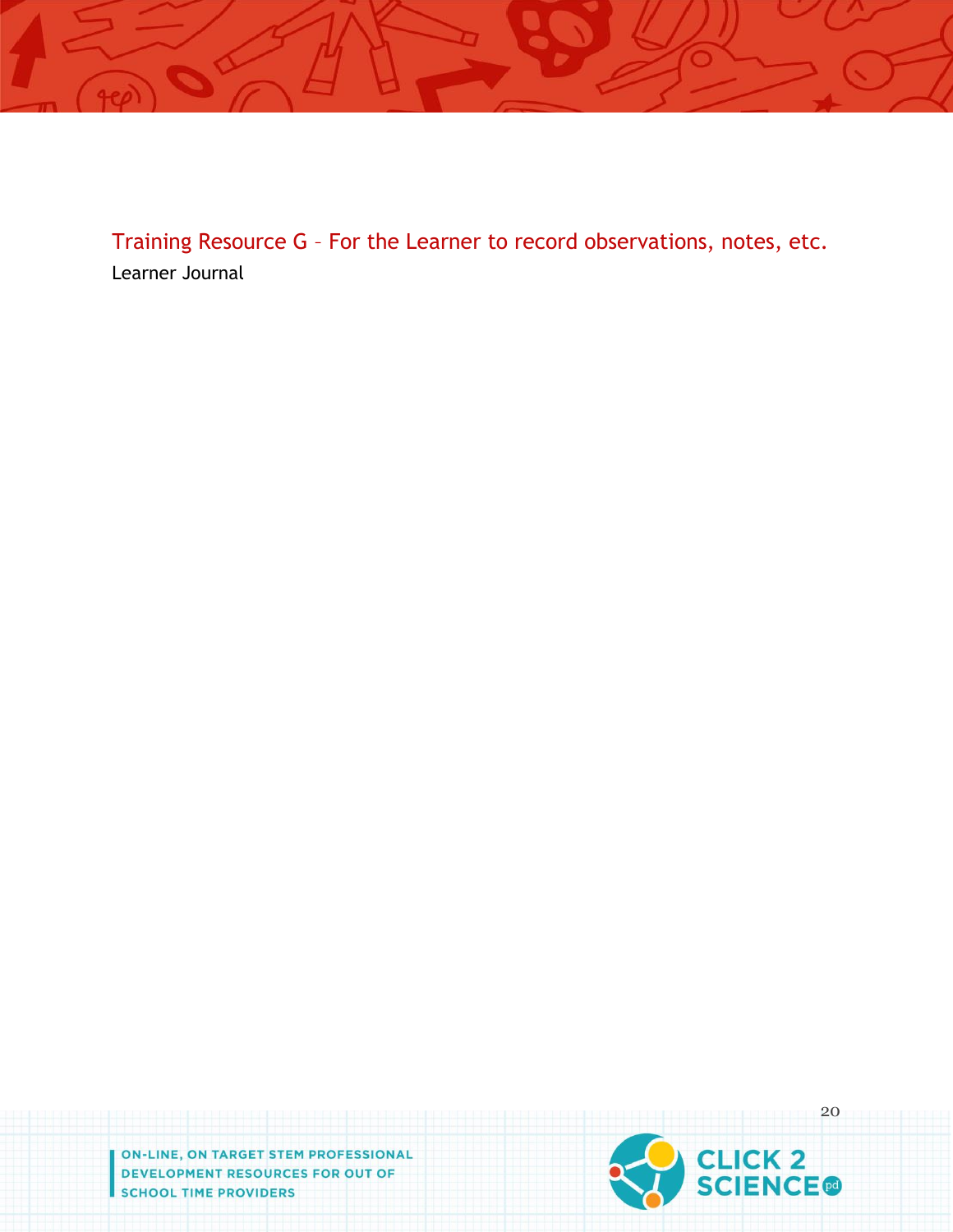

Training Resource G – For the Learner to record observations, notes, etc. Learner Journal

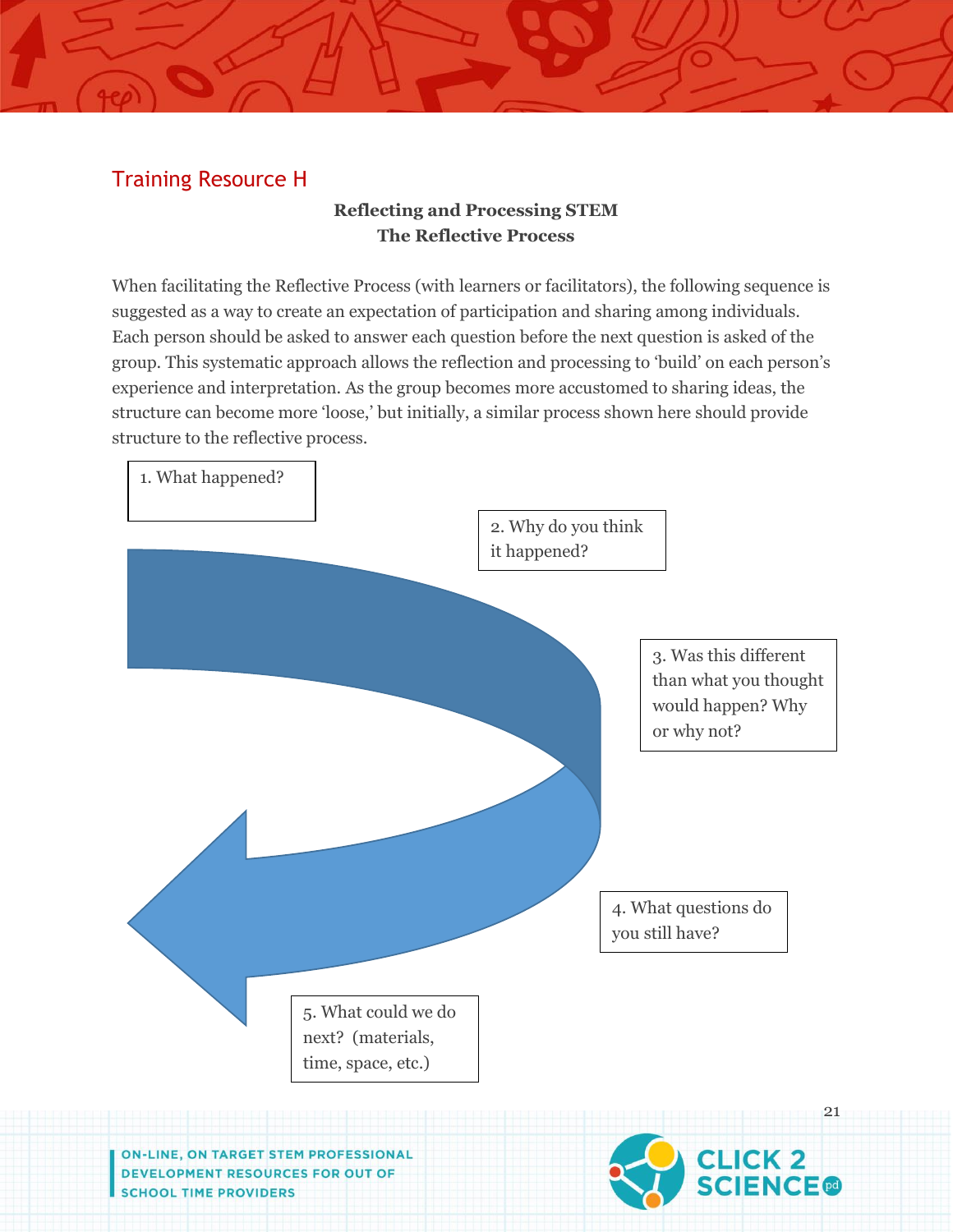## Training Resource H

## **Reflecting and Processing STEM The Reflective Process**

When facilitating the Reflective Process (with learners or facilitators), the following sequence is suggested as a way to create an expectation of participation and sharing among individuals. Each person should be asked to answer each question before the next question is asked of the group. This systematic approach allows the reflection and processing to 'build' on each person's experience and interpretation. As the group becomes more accustomed to sharing ideas, the structure can become more 'loose,' but initially, a similar process shown here should provide structure to the reflective process.

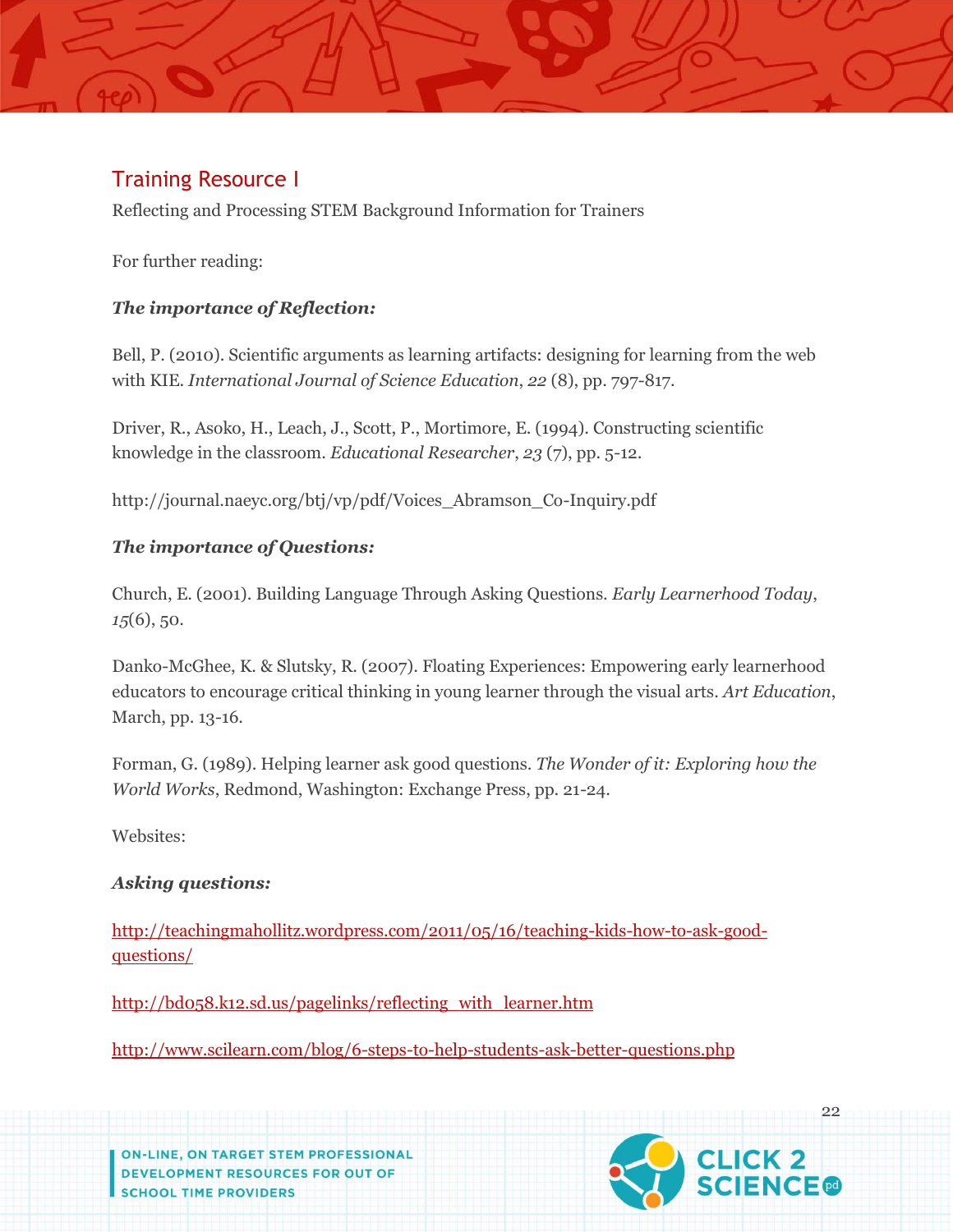## Training Resource I

Reflecting and Processing STEM Background Information for Trainers

For further reading:

## *The importance of Reflection:*

Bell, P. (2010). Scientific arguments as learning artifacts: designing for learning from the web with KIE. *International Journal of Science Education*, *22* (8), pp. 797-817.

Driver, R., Asoko, H., Leach, J., Scott, P., Mortimore, E. (1994). Constructing scientific knowledge in the classroom. *Educational Researcher*, *23* (7), pp. 5-12.

http://journal.naeyc.org/btj/vp/pdf/Voices\_Abramson\_Co-Inquiry.pdf

## *The importance of Questions:*

Church, E. (2001). Building Language Through Asking Questions. *Early Learnerhood Today*, *15*(6), 50.

Danko-McGhee, K. & Slutsky, R. (2007). Floating Experiences: Empowering early learnerhood educators to encourage critical thinking in young learner through the visual arts. *Art Education*, March, pp. 13-16.

Forman, G. (1989). Helping learner ask good questions. *The Wonder of it: Exploring how the World Works*, Redmond, Washington: Exchange Press, pp. 21-24.

Websites:

## *Asking questions:*

[http://teachingmahollitz.wordpress.com/2011/05/16/teaching-kids-how-to-ask-good](http://teachingmahollitz.wordpress.com/2011/05/16/teaching-kids-how-to-ask-good-questions/)[questions/](http://teachingmahollitz.wordpress.com/2011/05/16/teaching-kids-how-to-ask-good-questions/)

[http://bd058.k12.sd.us/pagelinks/reflecting\\_with\\_learner.htm](http://bd058.k12.sd.us/pagelinks/reflecting_with_children.htm)

<http://www.scilearn.com/blog/6-steps-to-help-students-ask-better-questions.php>